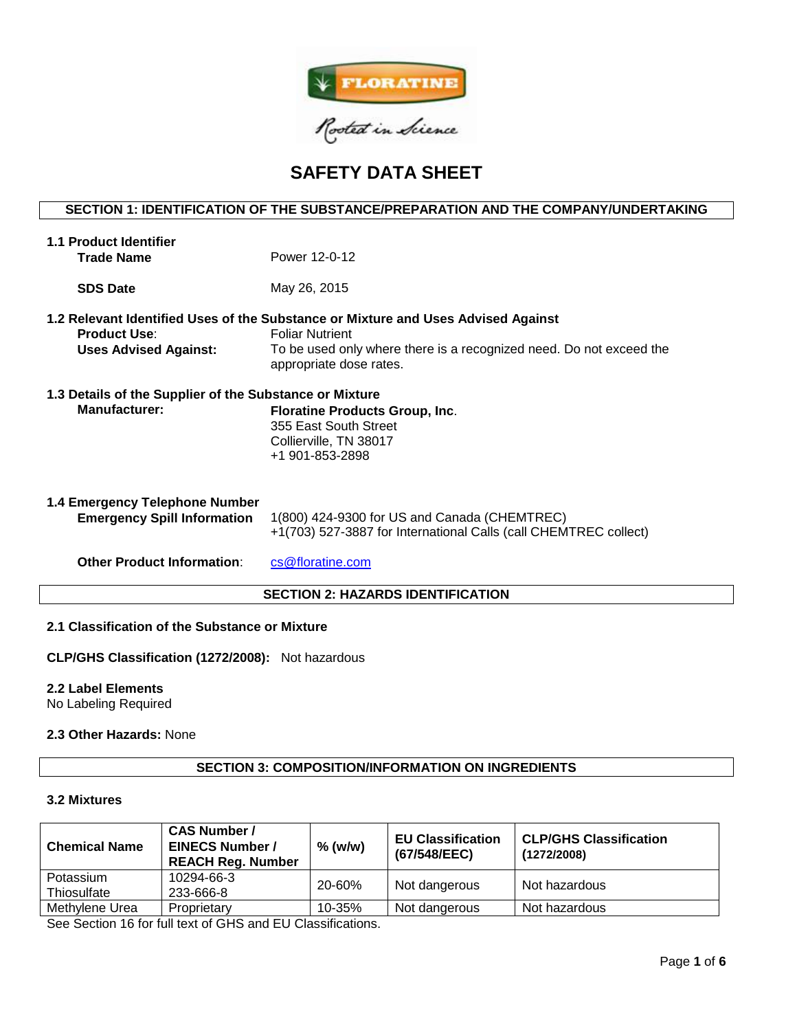

# **SAFETY DATA SHEET**

# **SECTION 1: IDENTIFICATION OF THE SUBSTANCE/PREPARATION AND THE COMPANY/UNDERTAKING**

| <b>1.1 Product Identifier</b><br><b>Trade Name</b>                       | Power 12-0-12                                                                                                                                                                                                 |  |  |  |
|--------------------------------------------------------------------------|---------------------------------------------------------------------------------------------------------------------------------------------------------------------------------------------------------------|--|--|--|
| <b>SDS Date</b>                                                          | May 26, 2015                                                                                                                                                                                                  |  |  |  |
| <b>Product Use:</b><br><b>Uses Advised Against:</b>                      | 1.2 Relevant Identified Uses of the Substance or Mixture and Uses Advised Against<br><b>Foliar Nutrient</b><br>To be used only where there is a recognized need. Do not exceed the<br>appropriate dose rates. |  |  |  |
| 1.3 Details of the Supplier of the Substance or Mixture<br>Manufacturer: | <b>Floratine Products Group, Inc.</b><br>355 East South Street<br>Collierville, TN 38017<br>+1 901-853-2898                                                                                                   |  |  |  |
| 1.4 Emergency Telephone Number<br><b>Emergency Spill Information</b>     | 1(800) 424-9300 for US and Canada (CHEMTREC)<br>+1(703) 527-3887 for International Calls (call CHEMTREC collect)                                                                                              |  |  |  |
| <b>Other Product Information:</b>                                        | cs@floratine.com                                                                                                                                                                                              |  |  |  |
| <b>SECTION 2: HAZARDS IDENTIFICATION</b>                                 |                                                                                                                                                                                                               |  |  |  |

# **2.1 Classification of the Substance or Mixture**

**CLP/GHS Classification (1272/2008):** Not hazardous

# **2.2 Label Elements**

No Labeling Required

# **2.3 Other Hazards:** None

# **SECTION 3: COMPOSITION/INFORMATION ON INGREDIENTS**

### **3.2 Mixtures**

| <b>Chemical Name</b> | <b>CAS Number /</b><br><b>EINECS Number /</b><br><b>REACH Reg. Number</b> | $%$ (w/w)  | <b>EU Classification</b><br>(67/548/EEC) | <b>CLP/GHS Classification</b><br>(1272/2008) |  |
|----------------------|---------------------------------------------------------------------------|------------|------------------------------------------|----------------------------------------------|--|
| Potassium            | 10294-66-3                                                                | 20-60%     | Not dangerous                            | Not hazardous                                |  |
| Thiosulfate          | 233-666-8                                                                 |            |                                          |                                              |  |
| Methylene Urea       | Proprietary                                                               | $10 - 35%$ | Not dangerous                            | Not hazardous                                |  |

See Section 16 for full text of GHS and EU Classifications.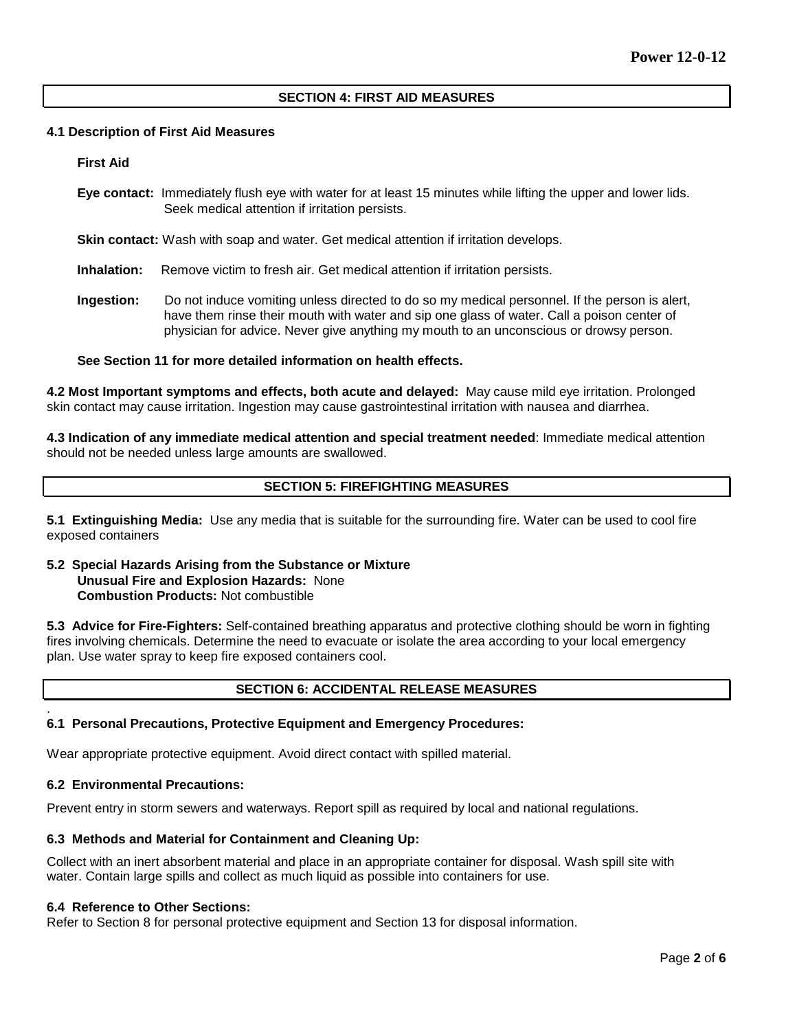## **SECTION 4: FIRST AID MEASURES**

### **4.1 Description of First Aid Measures**

### **First Aid**

**Eye contact:** Immediately flush eye with water for at least 15 minutes while lifting the upper and lower lids. Seek medical attention if irritation persists.

**Skin contact:** Wash with soap and water. Get medical attention if irritation develops.

**Inhalation:** Remove victim to fresh air. Get medical attention if irritation persists.

**Ingestion:** Do not induce vomiting unless directed to do so my medical personnel. If the person is alert, have them rinse their mouth with water and sip one glass of water. Call a poison center of physician for advice. Never give anything my mouth to an unconscious or drowsy person.

### **See Section 11 for more detailed information on health effects.**

**4.2 Most Important symptoms and effects, both acute and delayed:** May cause mild eye irritation. Prolonged skin contact may cause irritation. Ingestion may cause gastrointestinal irritation with nausea and diarrhea.

**4.3 Indication of any immediate medical attention and special treatment needed**: Immediate medical attention should not be needed unless large amounts are swallowed.

# **SECTION 5: FIREFIGHTING MEASURES**

**5.1 Extinguishing Media:** Use any media that is suitable for the surrounding fire. Water can be used to cool fire exposed containers

### **5.2 Special Hazards Arising from the Substance or Mixture Unusual Fire and Explosion Hazards:** None **Combustion Products:** Not combustible

**5.3 Advice for Fire-Fighters:** Self-contained breathing apparatus and protective clothing should be worn in fighting fires involving chemicals. Determine the need to evacuate or isolate the area according to your local emergency plan. Use water spray to keep fire exposed containers cool.

# **SECTION 6: ACCIDENTAL RELEASE MEASURES**

### **6.1 Personal Precautions, Protective Equipment and Emergency Procedures:**

Wear appropriate protective equipment. Avoid direct contact with spilled material.

## **6.2 Environmental Precautions:**

.

Prevent entry in storm sewers and waterways. Report spill as required by local and national regulations.

### **6.3 Methods and Material for Containment and Cleaning Up:**

Collect with an inert absorbent material and place in an appropriate container for disposal. Wash spill site with water. Contain large spills and collect as much liquid as possible into containers for use.

### **6.4 Reference to Other Sections:**

Refer to Section 8 for personal protective equipment and Section 13 for disposal information.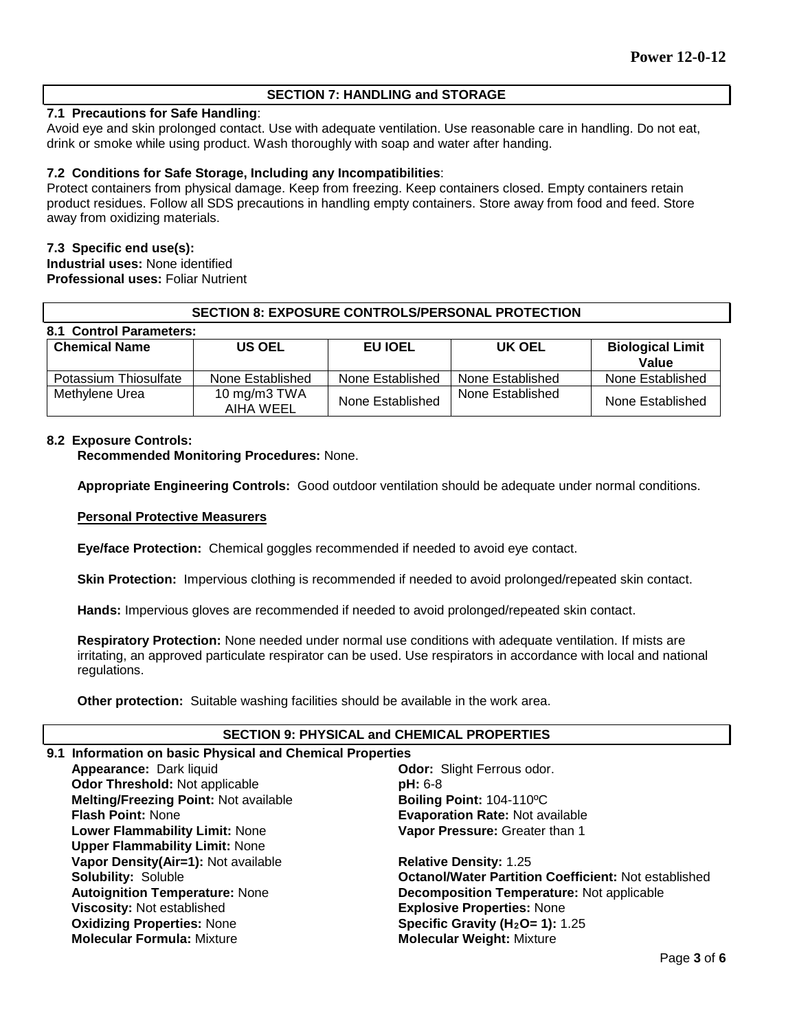# **SECTION 7: HANDLING and STORAGE**

# **7.1 Precautions for Safe Handling**:

Avoid eye and skin prolonged contact. Use with adequate ventilation. Use reasonable care in handling. Do not eat, drink or smoke while using product. Wash thoroughly with soap and water after handing.

## **7.2 Conditions for Safe Storage, Including any Incompatibilities**:

Protect containers from physical damage. Keep from freezing. Keep containers closed. Empty containers retain product residues. Follow all SDS precautions in handling empty containers. Store away from food and feed. Store away from oxidizing materials.

## **7.3 Specific end use(s):**

**Industrial uses:** None identified **Professional uses:** Foliar Nutrient

| <b>SECTION 8: EXPOSURE CONTROLS/PERSONAL PROTECTION</b> |                           |                  |                  |                                  |  |  |  |
|---------------------------------------------------------|---------------------------|------------------|------------------|----------------------------------|--|--|--|
| 8.1 Control Parameters:                                 |                           |                  |                  |                                  |  |  |  |
| <b>Chemical Name</b>                                    | <b>US OEL</b>             | EU IOEL          | UK OEL           | <b>Biological Limit</b><br>Value |  |  |  |
| Potassium Thiosulfate                                   | None Established          | None Established | None Established | None Established                 |  |  |  |
| Methylene Urea                                          | 10 mg/m3 TWA<br>AIHA WEEL | None Established | None Established | None Established                 |  |  |  |

## **8.2 Exposure Controls:**

**Recommended Monitoring Procedures:** None.

**Appropriate Engineering Controls:** Good outdoor ventilation should be adequate under normal conditions.

#### **Personal Protective Measurers**

**Eye/face Protection:** Chemical goggles recommended if needed to avoid eye contact.

**Skin Protection:** Impervious clothing is recommended if needed to avoid prolonged/repeated skin contact.

**Hands:** Impervious gloves are recommended if needed to avoid prolonged/repeated skin contact.

**Respiratory Protection:** None needed under normal use conditions with adequate ventilation. If mists are irritating, an approved particulate respirator can be used. Use respirators in accordance with local and national regulations.

**Other protection:** Suitable washing facilities should be available in the work area.

## **SECTION 9: PHYSICAL and CHEMICAL PROPERTIES**

# **9.1 Information on basic Physical and Chemical Properties**

**Appearance:** Dark liquid **Odor:** Slight Ferrous odor.<br> **Odor Threshold:** Not applicable **Direct of the Struct pH:** 6-8 **Odor Threshold: Not applicable Melting/Freezing Point: Not available <b>Boiling Point: 104-110°C**<br>**Flash Point: N**one **Boiling Point: Evaporation Rate: Not** av **Evaporation Rate: Not available Lower Flammability Limit:** None **Upper Flammability Limit:** None **Vapor Pressure:** Greater than 1 **Vapor Density(Air=1):** Not available **Relative Density:** 1.25 **Solubility:** Soluble **Octanol/Water Partition Coefficient:** Not established **Autoignition Temperature:** None **Decomposition Temperature:** Not applicable **Viscosity:** Not established<br> **Oxidizing Properties:** None<br> **CXIDICAL Specific Gravity (H<sub>2</sub>O= 1):** 1 **Oxidizing Properties:** None **Specific Gravity (H<sub>2</sub>O= 1):** 1.25<br> **Molecular Formula:** Mixture **State of Molecular Weight:** Mixture **Molecular Weight: Mixture**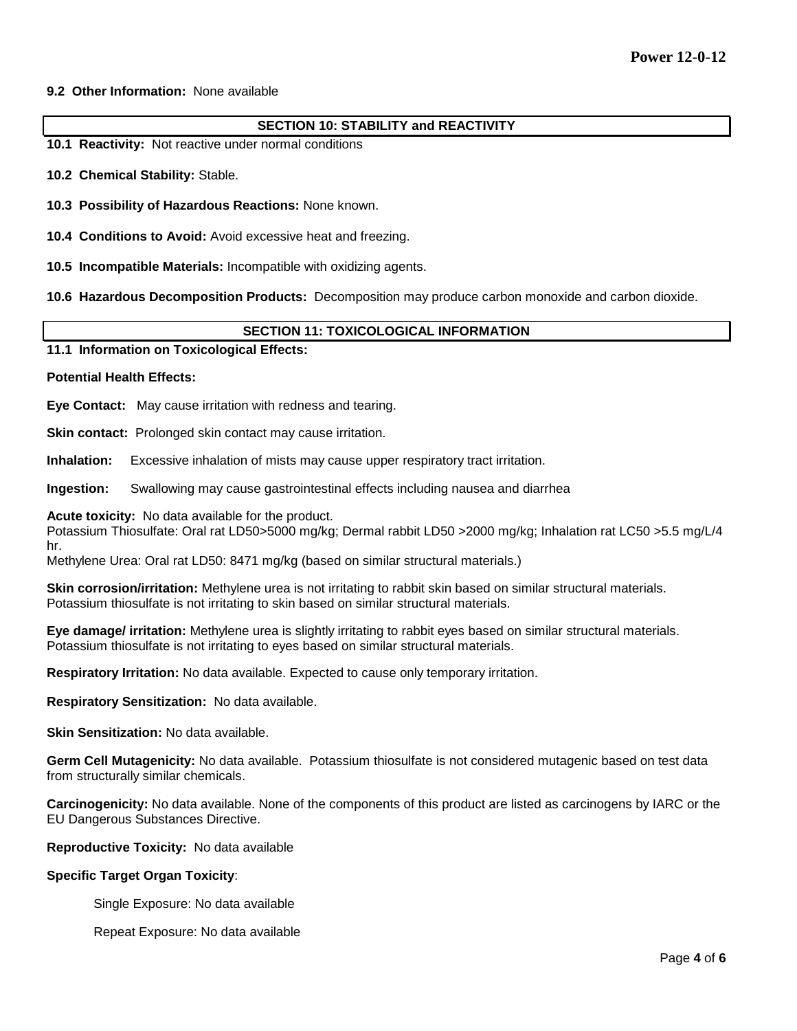### **9.2 Other Information:** None available

### **SECTION 10: STABILITY and REACTIVITY**

- **10.1 Reactivity:** Not reactive under normal conditions
- **10.2 Chemical Stability:** Stable.
- **10.3 Possibility of Hazardous Reactions:** None known.
- **10.4 Conditions to Avoid:** Avoid excessive heat and freezing.
- **10.5 Incompatible Materials:** Incompatible with oxidizing agents.
- **10.6 Hazardous Decomposition Products:** Decomposition may produce carbon monoxide and carbon dioxide.

## **SECTION 11: TOXICOLOGICAL INFORMATION**

### **11.1 Information on Toxicological Effects:**

#### **Potential Health Effects:**

**Eye Contact:** May cause irritation with redness and tearing.

**Skin contact:** Prolonged skin contact may cause irritation.

**Inhalation:** Excessive inhalation of mists may cause upper respiratory tract irritation.

**Ingestion:** Swallowing may cause gastrointestinal effects including nausea and diarrhea

**Acute toxicity:** No data available for the product.

Potassium Thiosulfate: Oral rat LD50>5000 mg/kg; Dermal rabbit LD50 >2000 mg/kg; Inhalation rat LC50 >5.5 mg/L/4 hr.

Methylene Urea: Oral rat LD50: 8471 mg/kg (based on similar structural materials.)

**Skin corrosion/irritation:** Methylene urea is not irritating to rabbit skin based on similar structural materials. Potassium thiosulfate is not irritating to skin based on similar structural materials.

**Eye damage/ irritation:** Methylene urea is slightly irritating to rabbit eyes based on similar structural materials. Potassium thiosulfate is not irritating to eyes based on similar structural materials.

**Respiratory Irritation:** No data available. Expected to cause only temporary irritation.

**Respiratory Sensitization:** No data available.

**Skin Sensitization:** No data available.

**Germ Cell Mutagenicity:** No data available. Potassium thiosulfate is not considered mutagenic based on test data from structurally similar chemicals.

**Carcinogenicity:** No data available. None of the components of this product are listed as carcinogens by IARC or the EU Dangerous Substances Directive.

**Reproductive Toxicity:** No data available

### **Specific Target Organ Toxicity**:

Single Exposure: No data available

Repeat Exposure: No data available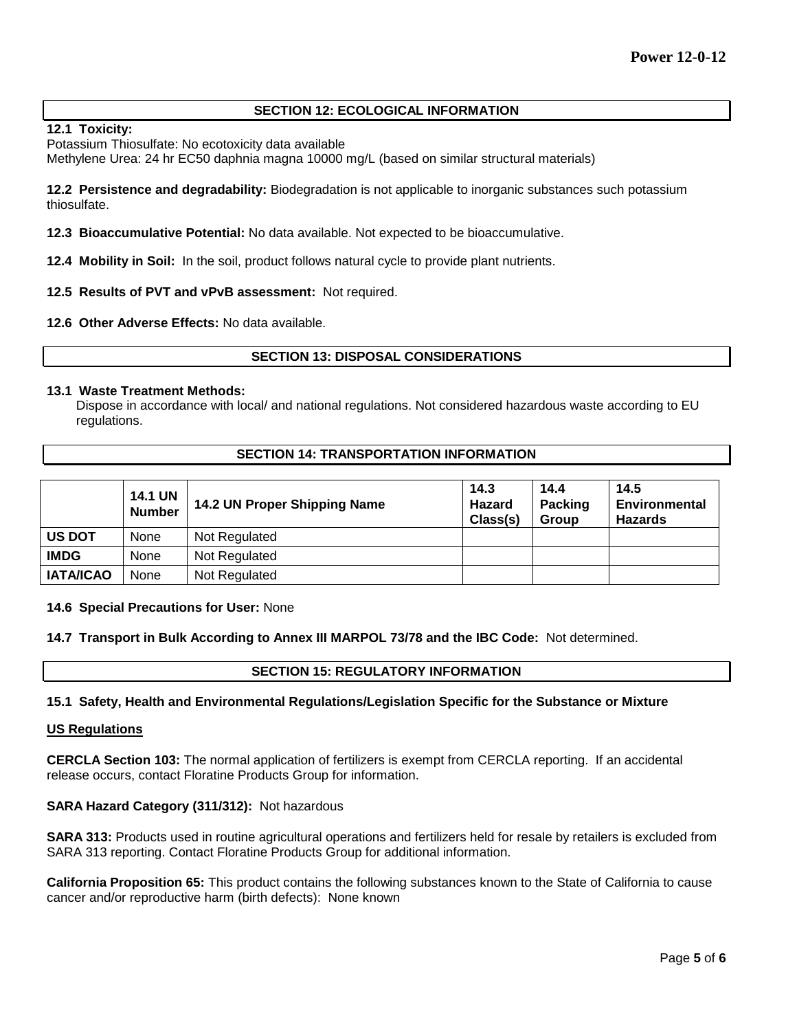# **SECTION 12: ECOLOGICAL INFORMATION**

## **12.1 Toxicity:**

Potassium Thiosulfate: No ecotoxicity data available

Methylene Urea: 24 hr EC50 daphnia magna 10000 mg/L (based on similar structural materials)

**12.2 Persistence and degradability:** Biodegradation is not applicable to inorganic substances such potassium thiosulfate.

**12.3 Bioaccumulative Potential:** No data available. Not expected to be bioaccumulative.

**12.4 Mobility in Soil:** In the soil, product follows natural cycle to provide plant nutrients.

## **12.5 Results of PVT and vPvB assessment:** Not required.

### **12.6 Other Adverse Effects:** No data available.

## **SECTION 13: DISPOSAL CONSIDERATIONS**

### **13.1 Waste Treatment Methods:**

Dispose in accordance with local/ and national regulations. Not considered hazardous waste according to EU regulations.

## **SECTION 14: TRANSPORTATION INFORMATION**

|                  | <b>14.1 UN</b><br><b>Number</b> | 14.2 UN Proper Shipping Name | 14.3<br><b>Hazard</b><br>Class(s) | 14.4<br><b>Packing</b><br>Group | 14.5<br>Environmental<br><b>Hazards</b> |
|------------------|---------------------------------|------------------------------|-----------------------------------|---------------------------------|-----------------------------------------|
| <b>US DOT</b>    | None                            | Not Regulated                |                                   |                                 |                                         |
| <b>IMDG</b>      | None                            | Not Regulated                |                                   |                                 |                                         |
| <b>IATA/ICAO</b> | None                            | Not Regulated                |                                   |                                 |                                         |

### **14.6 Special Precautions for User:** None

**14.7 Transport in Bulk According to Annex III MARPOL 73/78 and the IBC Code:** Not determined.

## **SECTION 15: REGULATORY INFORMATION**

### **15.1 Safety, Health and Environmental Regulations/Legislation Specific for the Substance or Mixture**

### **US Regulations**

**CERCLA Section 103:** The normal application of fertilizers is exempt from CERCLA reporting. If an accidental release occurs, contact Floratine Products Group for information.

# **SARA Hazard Category (311/312):** Not hazardous

**SARA 313:** Products used in routine agricultural operations and fertilizers held for resale by retailers is excluded from SARA 313 reporting. Contact Floratine Products Group for additional information.

**California Proposition 65:** This product contains the following substances known to the State of California to cause cancer and/or reproductive harm (birth defects): None known